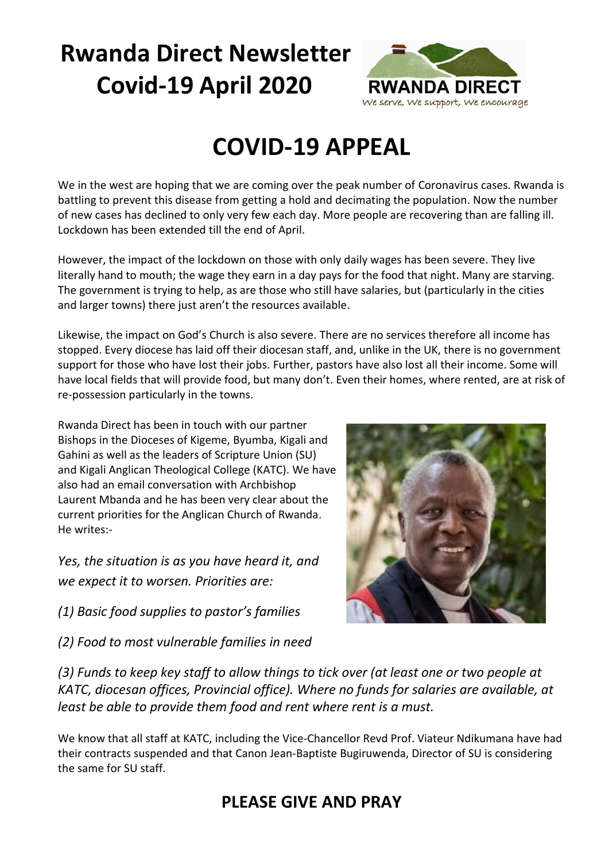# **Rwanda Direct Newsletter Covid-19 April 2020**



## **COVID-19 APPEAL**

We in the west are hoping that we are coming over the peak number of Coronavirus cases. Rwanda is battling to prevent this disease from getting a hold and decimating the population. Now the number of new cases has declined to only very few each day. More people are recovering than are falling ill. Lockdown has been extended till the end of April.

However, the impact of the lockdown on those with only daily wages has been severe. They live literally hand to mouth; the wage they earn in a day pays for the food that night. Many are starving. The government is trying to help, as are those who still have salaries, but (particularly in the cities and larger towns) there just aren't the resources available.

Likewise, the impact on God's Church is also severe. There are no services therefore all income has stopped. Every diocese has laid off their diocesan staff, and, unlike in the UK, there is no government support for those who have lost their jobs. Further, pastors have also lost all their income. Some will have local fields that will provide food, but many don't. Even their homes, where rented, are at risk of re-possession particularly in the towns.

Rwanda Direct has been in touch with our partner Bishops in the Dioceses of Kigeme, Byumba, Kigali and Gahini as well as the leaders of Scripture Union (SU) and Kigali Anglican Theological College (KATC). We have also had an email conversation with Archbishop Laurent Mbanda and he has been very clear about the current priorities for the Anglican Church of Rwanda. He writes:-

*Yes, the situation is as you have heard it, and we expect it to worsen. Priorities are:*

*(1) Basic food supplies to pastor's families*

*(2) Food to most vulnerable families in need*



*(3) Funds to keep key staff to allow things to tick over (at least one or two people at KATC, diocesan offices, Provincial office). Where no funds for salaries are available, at least be able to provide them food and rent where rent is a must.*

We know that all staff at KATC, including the Vice-Chancellor Revd Prof. Viateur Ndikumana have had their contracts suspended and that Canon Jean-Baptiste Bugiruwenda, Director of SU is considering the same for SU staff.

### **PLEASE GIVE AND PRAY**